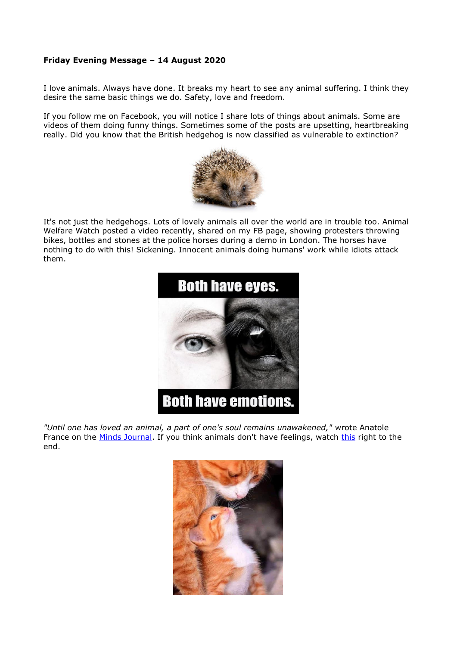## **Friday Evening Message – 14 August 2020**

I love animals. Always have done. It breaks my heart to see any animal suffering. I think they desire the same basic things we do. Safety, love and freedom.

If you follow me on Facebook, you will notice I share lots of things about animals. Some are videos of them doing funny things. Sometimes some of the posts are upsetting, heartbreaking really. Did you know that the British hedgehog is now classified as vulnerable to extinction?



It's not just the hedgehogs. Lots of lovely animals all over the world are in trouble too. Animal Welfare Watch posted a video recently, shared on my FB page, showing protesters throwing bikes, bottles and stones at the police horses during a demo in London. The horses have nothing to do with this! Sickening. Innocent animals doing humans' work while idiots attack them.



*"Until one has loved an animal, a part of one's soul remains unawakened,"* wrote Anatole France on the [Minds Journal.](http://themindsjournal.com/) If you think animals don't have feelings, watch [this](http://www.youtube.com/watch?v=oEw_5wMpz5s&feature=youtu.be&fbclid=IwAR1Svf3T0GKffDs0kdmDLmjjhugE3btKi36KeLQgkign26dBvQZmDMk2Gy8) right to the end.